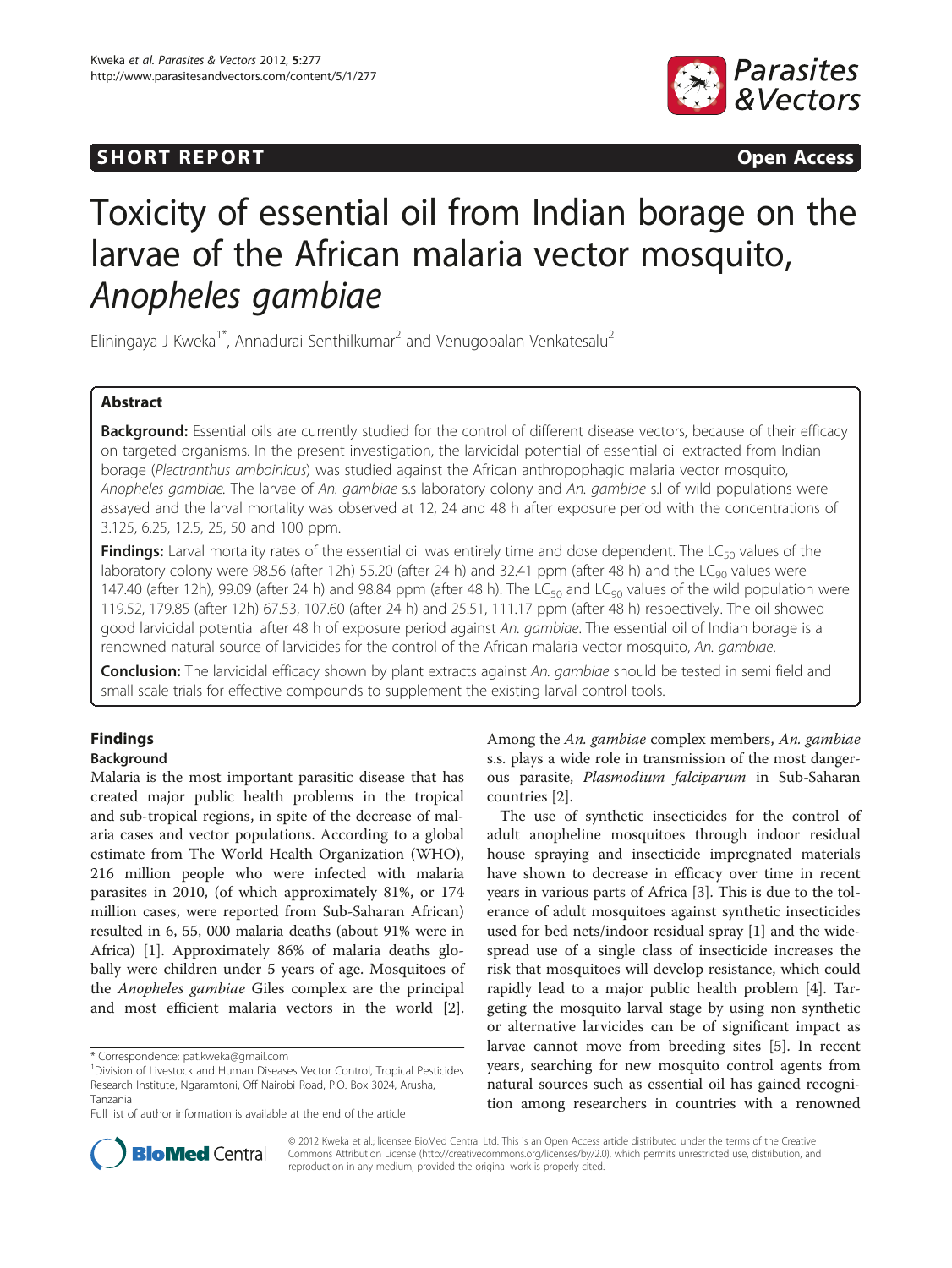# **SHORT REPORT SHORT CONSUMING A SHORT REPORT**



# Toxicity of essential oil from Indian borage on the larvae of the African malaria vector mosquito,

**Anopheles Gambia**<br>Eliningaya J Kweka<sup>1\*</sup>, Annadurai Senthilkumar<sup>2</sup> and Venugopalan Venkatesalu<sup>2</sup>

# Abstract

Background: Essential oils are currently studied for the control of different disease vectors, because of their efficacy on targeted organisms. In the present investigation, the larvicidal potential of essential oil extracted from Indian borage (Plectranthus amboinicus) was studied against the African anthropophagic malaria vector mosquito, Anopheles gambiae. The larvae of An. gambiae s.s laboratory colony and An. gambiae s.l of wild populations were assayed and the larval mortality was observed at 12, 24 and 48 h after exposure period with the concentrations of 3.125, 6.25, 12.5, 25, 50 and 100 ppm.

Findings: Larval mortality rates of the essential oil was entirely time and dose dependent. The LC<sub>50</sub> values of the laboratory colony were 98.56 (after 12h) 55.20 (after 24 h) and 32.41 ppm (after 48 h) and the LC<sub>90</sub> values were 147.40 (after 12h), 99.09 (after 24 h) and 98.84 ppm (after 48 h). The LC<sub>50</sub> and LC<sub>90</sub> values of the wild population were 119.52, 179.85 (after 12h) 67.53, 107.60 (after 24 h) and 25.51, 111.17 ppm (after 48 h) respectively. The oil showed good larvicidal potential after 48 h of exposure period against An. gambiae. The essential oil of Indian borage is a renowned natural source of larvicides for the control of the African malaria vector mosquito, An. gambiae.

Conclusion: The larvicidal efficacy shown by plant extracts against An. gambiae should be tested in semi field and small scale trials for effective compounds to supplement the existing larval control tools.

# Findings

## Background

Malaria is the most important parasitic disease that has created major public health problems in the tropical and sub-tropical regions, in spite of the decrease of malaria cases and vector populations. According to a global estimate from The World Health Organization (WHO), 216 million people who were infected with malaria parasites in 2010, (of which approximately 81%, or 174 million cases, were reported from Sub-Saharan African) resulted in 6, 55, 000 malaria deaths (about 91% were in Africa) [[1\]](#page-3-0). Approximately 86% of malaria deaths globally were children under 5 years of age. Mosquitoes of the Anopheles gambiae Giles complex are the principal and most efficient malaria vectors in the world [\[2](#page-3-0)].

Among the An. gambiae complex members, An. gambiae s.s. plays a wide role in transmission of the most dangerous parasite, Plasmodium falciparum in Sub-Saharan countries [\[2](#page-3-0)].

The use of synthetic insecticides for the control of adult anopheline mosquitoes through indoor residual house spraying and insecticide impregnated materials have shown to decrease in efficacy over time in recent years in various parts of Africa [\[3](#page-3-0)]. This is due to the tolerance of adult mosquitoes against synthetic insecticides used for bed nets/indoor residual spray [\[1](#page-3-0)] and the widespread use of a single class of insecticide increases the risk that mosquitoes will develop resistance, which could rapidly lead to a major public health problem [\[4\]](#page-3-0). Targeting the mosquito larval stage by using non synthetic or alternative larvicides can be of significant impact as larvae cannot move from breeding sites [\[5](#page-3-0)]. In recent years, searching for new mosquito control agents from natural sources such as essential oil has gained recognition among researchers in countries with a renowned



© 2012 Kweka et al.; licensee BioMed Central Ltd. This is an Open Access article distributed under the terms of the Creative Commons Attribution License [\(http://creativecommons.org/licenses/by/2.0\)](http://creativecommons.org/licenses/by/2.0), which permits unrestricted use, distribution, and reproduction in any medium, provided the original work is properly cited.

<sup>\*</sup> Correspondence: [pat.kweka@gmail.com](mailto:pat.kweka@gmail.com) <sup>1</sup>

Division of Livestock and Human Diseases Vector Control, Tropical Pesticides Research Institute, Ngaramtoni, Off Nairobi Road, P.O. Box 3024, Arusha, Tanzania

Full list of author information is available at the end of the article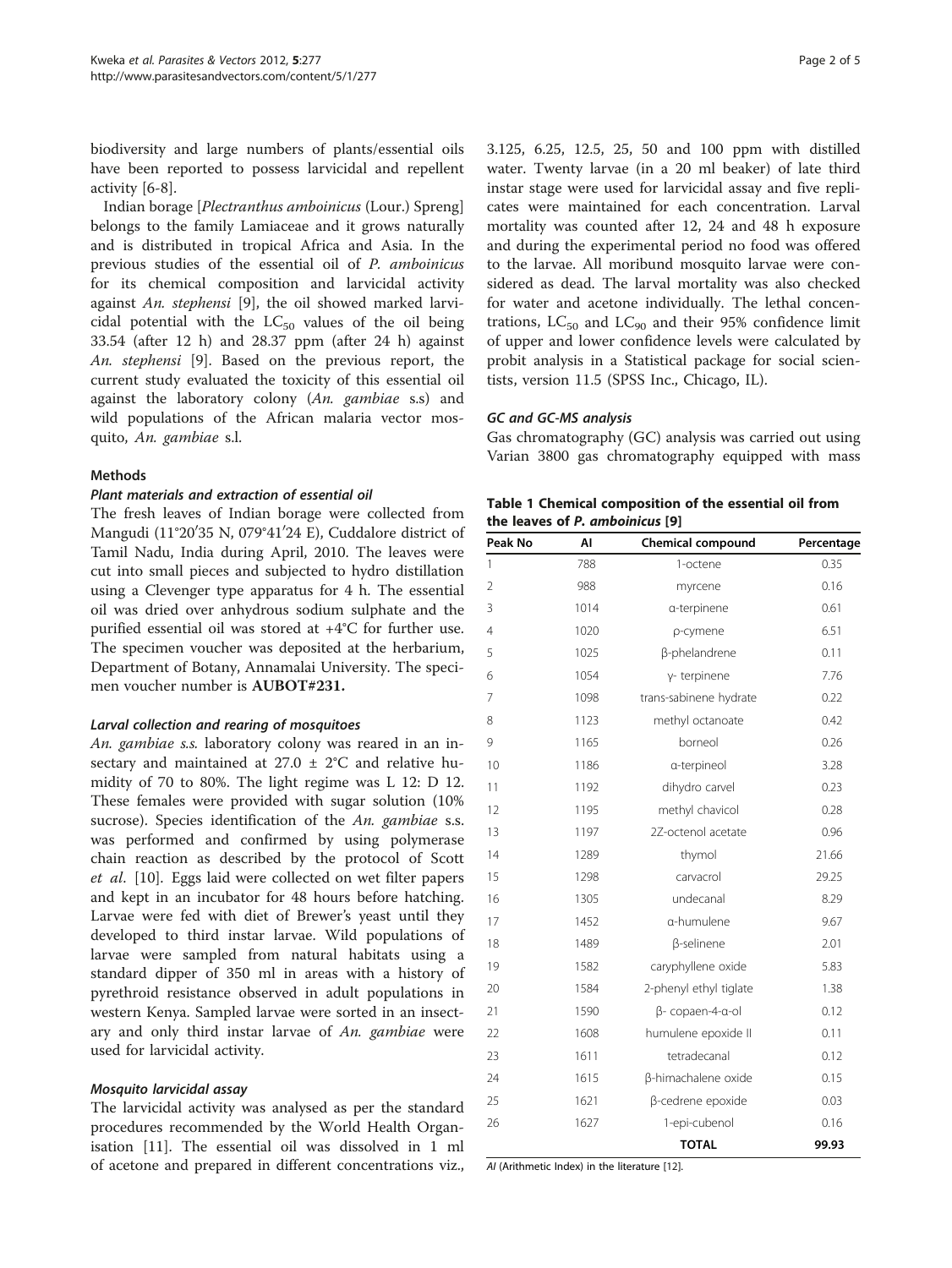<span id="page-1-0"></span>biodiversity and large numbers of plants/essential oils have been reported to possess larvicidal and repellent activity [[6](#page-3-0)[-8](#page-4-0)].

Indian borage [Plectranthus amboinicus (Lour.) Spreng] belongs to the family Lamiaceae and it grows naturally and is distributed in tropical Africa and Asia. In the previous studies of the essential oil of P. amboinicus for its chemical composition and larvicidal activity against An. stephensi [\[9](#page-4-0)], the oil showed marked larvicidal potential with the  $LC_{50}$  values of the oil being 33.54 (after 12 h) and 28.37 ppm (after 24 h) against An. stephensi [\[9](#page-4-0)]. Based on the previous report, the current study evaluated the toxicity of this essential oil against the laboratory colony (An. gambiae s.s) and wild populations of the African malaria vector mosquito, An. gambiae s.l.

## **Mathods**

## Plant materials and extraction of essential oil

The fresh leaves of Indian borage were collected from Mangudi (11°20′35 N, 079°41′24 E), Cuddalore district of Tamil Nadu, India during April, 2010. The leaves were cut into small pieces and subjected to hydro distillation using a Clevenger type apparatus for 4 h. The essential oil was dried over anhydrous sodium sulphate and the purified essential oil was stored at +4°C for further use. The specimen voucher was deposited at the herbarium, Department of Botany, Annamalai University. The specimen voucher number is AUBOT#231.

### Larval collection and rearing of mosquitoes

An. gambiae s.s. laboratory colony was reared in an insectary and maintained at 27.0 ± 2°C and relative humidity of 70 to 80%. The light regime was L 12: D 12. These females were provided with sugar solution (10% sucrose). Species identification of the An. gambiae s.s. was performed and confirmed by using polymerase chain reaction as described by the protocol of Scott et al. [\[10](#page-4-0)]. Eggs laid were collected on wet filter papers and kept in an incubator for 48 hours before hatching. Larvae were fed with diet of Brewer's yeast until they developed to third instar larvae. Wild populations of larvae were sampled from natural habitats using a standard dipper of 350 ml in areas with a history of pyrethroid resistance observed in adult populations in western Kenya. Sampled larvae were sorted in an insectary and only third instar larvae of An. gambiae were used for larvicidal activity.

### Mosquito larvicidal assay

The larvicidal activity was analysed as per the standard procedures recommended by the World Health Organisation [[11](#page-4-0)]. The essential oil was dissolved in 1 ml of acetone and prepared in different concentrations viz., 3.125, 6.25, 12.5, 25, 50 and 100 ppm with distilled water. Twenty larvae (in a 20 ml beaker) of late third instar stage were used for larvicidal assay and five replicates were maintained for each concentration. Larval mortality was counted after 12, 24 and 48 h exposure and during the experimental period no food was offered to the larvae. All moribund mosquito larvae were considered as dead. The larval mortality was also checked for water and acetone individually. The lethal concentrations,  $LC_{50}$  and  $LC_{90}$  and their 95% confidence limit of upper and lower confidence levels were calculated by probit analysis in a Statistical package for social scientists, version 11.5 (SPSS Inc., Chicago, IL).

### GC and GC-MS analysis

Gas chromatography (GC) analysis was carried out using Varian 3800 gas chromatography equipped with mass

|                                 |     | Table 1 Chemical composition of the essential oil from |  |  |  |  |  |  |  |  |
|---------------------------------|-----|--------------------------------------------------------|--|--|--|--|--|--|--|--|
| the leaves of P. amboinicus [9] |     |                                                        |  |  |  |  |  |  |  |  |
| .                               | . . | - - - - -                                              |  |  |  |  |  |  |  |  |

| Peak No | AI   | <b>Chemical compound</b> | Percentage |  |
|---------|------|--------------------------|------------|--|
| 1       | 788  | 1-octene                 | 0.35       |  |
| 2       | 988  | myrcene                  | 0.16       |  |
| 3       | 1014 | a-terpinene              | 0.61       |  |
| 4       | 1020 | p-cymene                 | 6.51       |  |
| 5       | 1025 | β-phelandrene            | 0.11       |  |
| 6       | 1054 | γ- terpinene             | 7.76       |  |
| 7       | 1098 | trans-sabinene hydrate   | 0.22       |  |
| 8       | 1123 | methyl octanoate         | 0.42       |  |
| 9       | 1165 | borneol                  | 0.26       |  |
| 10      | 1186 | a-terpineol              | 3.28       |  |
| 11      | 1192 | dihydro carvel           | 0.23       |  |
| 12      | 1195 | methyl chavicol          | 0.28       |  |
| 13      | 1197 | 2Z-octenol acetate       | 0.96       |  |
| 14      | 1289 | thymol                   | 21.66      |  |
| 15      | 1298 | carvacrol                | 29.25      |  |
| 16      | 1305 | undecanal                | 8.29       |  |
| 17      | 1452 | a-humulene               | 9.67       |  |
| 18      | 1489 | β-selinene               | 2.01       |  |
| 19      | 1582 | caryphyllene oxide       | 5.83       |  |
| 20      | 1584 | 2-phenyl ethyl tiglate   | 1.38       |  |
| 21      | 1590 | β- copaen-4-α-ol         | 0.12       |  |
| 22      | 1608 | humulene epoxide II      | 0.11       |  |
| 23      | 1611 | tetradecanal             | 0.12       |  |
| 24      | 1615 | β-himachalene oxide      | 0.15       |  |
| 25      | 1621 | β-cedrene epoxide        | 0.03       |  |
| 26      | 1627 | 1-epi-cubenol            | 0.16       |  |
|         |      | <b>TOTAL</b>             | 99.93      |  |

AI (Arithmetic Index) in the literature [\[12](#page-4-0)].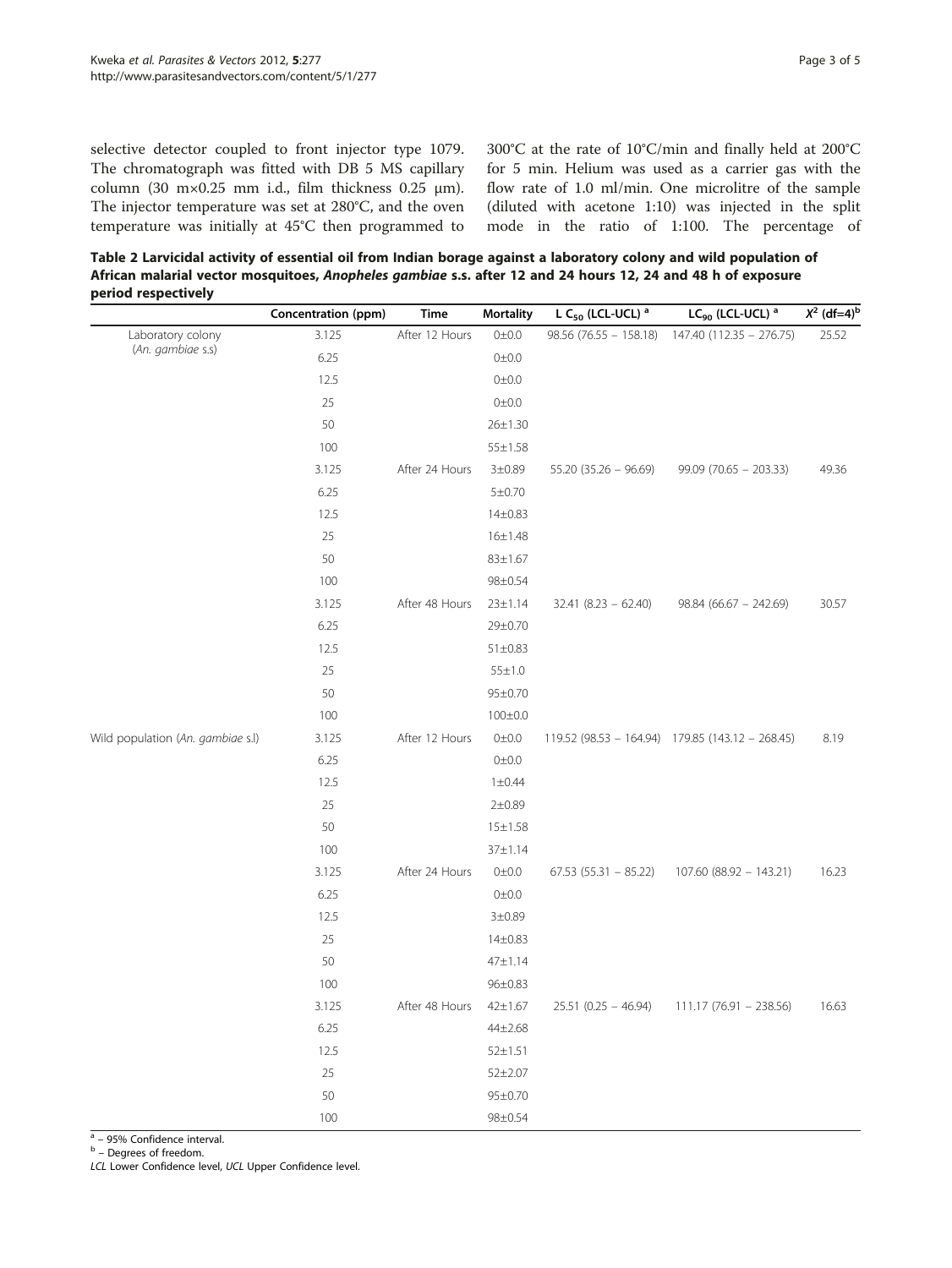<span id="page-2-0"></span>selective detector coupled to front injector type 1079. The chromatograph was fitted with DB 5 MS capillary column (30 m×0.25 mm i.d., film thickness 0.25 μm). The injector temperature was set at 280°C, and the oven temperature was initially at 45°C then programmed to 300°C at the rate of 10°C/min and finally held at 200°C for 5 min. Helium was used as a carrier gas with the flow rate of 1.0 ml/min. One microlitre of the sample (diluted with acetone 1:10) was injected in the split mode in the ratio of 1:100. The percentage of

Table 2 Larvicidal activity of essential oil from Indian borage against a laboratory colony and wild population of African malarial vector mosquitoes, Anopheles gambiae s.s. after 12 and 24 hours 12, 24 and 48 h of exposure period respectively

|                                        | Concentration (ppm) | <b>Time</b>    | <b>Mortality</b> | L C <sub>50</sub> (LCL-UCL) <sup>a</sup> | $LC_{90}$ (LCL-UCL) <sup>a</sup>                 | $X^2$ (df=4) <sup>k</sup> |
|----------------------------------------|---------------------|----------------|------------------|------------------------------------------|--------------------------------------------------|---------------------------|
| Laboratory colony<br>(An. gambiae s.s) | 3.125               | After 12 Hours | $0 \pm 0.0$      | $98.56(76.55 - 158.18)$                  | 147.40 (112.35 - 276.75)                         | 25.52                     |
|                                        | 6.25                |                | $0\pm0.0$        |                                          |                                                  |                           |
|                                        | 12.5                |                | 0±0.0            |                                          |                                                  |                           |
|                                        | 25                  |                | $0\pm0.0$        |                                          |                                                  |                           |
|                                        | 50                  |                | $26 \pm 1.30$    |                                          |                                                  |                           |
|                                        | 100                 |                | $55 \pm 1.58$    |                                          |                                                  |                           |
|                                        | 3.125               | After 24 Hours | $3 + 0.89$       | $55.20$ (35.26 - 96.69)                  | $99.09$ (70.65 - 203.33)                         | 49.36                     |
|                                        | 6.25                |                | 5 ± 0.70         |                                          |                                                  |                           |
|                                        | 12.5                |                | $14 \pm 0.83$    |                                          |                                                  |                           |
|                                        | 25                  |                | $16 \pm 1.48$    |                                          |                                                  |                           |
|                                        | 50                  |                | $83 \pm 1.67$    |                                          |                                                  |                           |
|                                        | 100                 |                | 98±0.54          |                                          |                                                  |                           |
|                                        | 3.125               | After 48 Hours | $23 \pm 1.14$    | $32.41 (8.23 - 62.40)$                   | $98.84$ (66.67 - 242.69)                         | 30.57                     |
|                                        | 6.25                |                | 29±0.70          |                                          |                                                  |                           |
|                                        | 12.5                |                | $51 \pm 0.83$    |                                          |                                                  |                           |
|                                        | 25                  |                | $55 \pm 1.0$     |                                          |                                                  |                           |
|                                        | 50                  |                | 95±0.70          |                                          |                                                  |                           |
|                                        | 100                 |                | $100 \pm 0.0$    |                                          |                                                  |                           |
| Wild population (An. gambiae s.l)      | 3.125               | After 12 Hours | $0\pm0.0$        |                                          | 119.52 (98.53 - 164.94) 179.85 (143.12 - 268.45) | 8.19                      |
|                                        | 6.25                |                | $0\pm0.0$        |                                          |                                                  |                           |
|                                        | 12.5                |                | $1 \pm 0.44$     |                                          |                                                  |                           |
|                                        | 25                  |                | 2 ± 0.89         |                                          |                                                  |                           |
|                                        | 50                  |                | $15 \pm 1.58$    |                                          |                                                  |                           |
|                                        | 100                 |                | 37±1.14          |                                          |                                                  |                           |
|                                        | 3.125               | After 24 Hours | $0\pm0.0$        | $67.53$ $(55.31 - 85.22)$                | 107.60 (88.92 - 143.21)                          | 16.23                     |
|                                        | 6.25                |                | 0±0.0            |                                          |                                                  |                           |
|                                        | 12.5                |                | $3 + 0.89$       |                                          |                                                  |                           |
|                                        | 25                  |                | $14 + 0.83$      |                                          |                                                  |                           |
|                                        | 50                  |                | $47 + 1.14$      |                                          |                                                  |                           |
|                                        | 100                 |                | 96±0.83          |                                          |                                                  |                           |
|                                        | 3.125               | After 48 Hours | $42 \pm 1.67$    | $25.51$ (0.25 - 46.94)                   | $111.17(76.91 - 238.56)$                         | 16.63                     |
|                                        | 6.25                |                | 44±2.68          |                                          |                                                  |                           |
|                                        | 12.5                |                | $52 \pm 1.51$    |                                          |                                                  |                           |
|                                        | 25                  |                | $52 + 2.07$      |                                          |                                                  |                           |
|                                        | 50                  |                | 95±0.70          |                                          |                                                  |                           |
|                                        | 100                 |                | 98±0.54          |                                          |                                                  |                           |

 $a = 95\%$  Confidence interval.<br>  $b =$  Degrees of freedom.

LCL Lower Confidence level, UCL Upper Confidence level.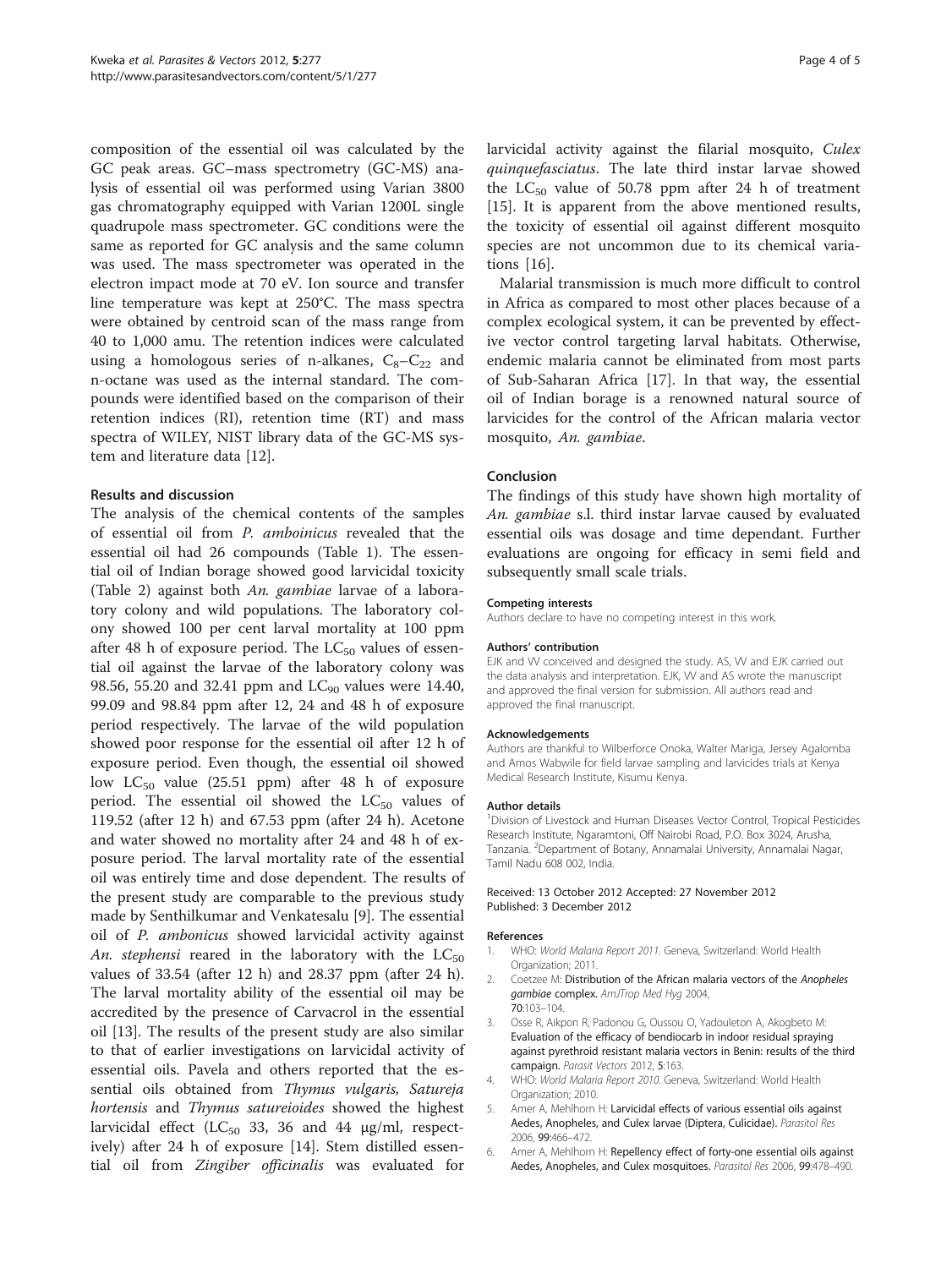<span id="page-3-0"></span>composition of the essential oil was calculated by the GC peak areas. GC–mass spectrometry (GC-MS) analysis of essential oil was performed using Varian 3800 gas chromatography equipped with Varian 1200L single quadrupole mass spectrometer. GC conditions were the same as reported for GC analysis and the same column was used. The mass spectrometer was operated in the electron impact mode at 70 eV. Ion source and transfer line temperature was kept at 250°C. The mass spectra were obtained by centroid scan of the mass range from 40 to 1,000 amu. The retention indices were calculated using a homologous series of n-alkanes,  $C_8 - C_{22}$  and n-octane was used as the internal standard. The compounds were identified based on the comparison of their retention indices (RI), retention time (RT) and mass spectra of WILEY, NIST library data of the GC-MS system and literature data [[12\]](#page-4-0).

### Results and discussion

The analysis of the chemical contents of the samples of essential oil from P. amboinicus revealed that the essential oil had 26 compounds (Table [1\)](#page-1-0). The essential oil of Indian borage showed good larvicidal toxicity (Table [2](#page-2-0)) against both An. gambiae larvae of a laboratory colony and wild populations. The laboratory colony showed 100 per cent larval mortality at 100 ppm after 48 h of exposure period. The  $LC_{50}$  values of essential oil against the larvae of the laboratory colony was 98.56, 55.20 and 32.41 ppm and  $LC_{90}$  values were 14.40, 99.09 and 98.84 ppm after 12, 24 and 48 h of exposure period respectively. The larvae of the wild population showed poor response for the essential oil after 12 h of exposure period. Even though, the essential oil showed low  $LC_{50}$  value (25.51 ppm) after 48 h of exposure period. The essential oil showed the  $LC_{50}$  values of 119.52 (after 12 h) and 67.53 ppm (after 24 h). Acetone and water showed no mortality after 24 and 48 h of exposure period. The larval mortality rate of the essential oil was entirely time and dose dependent. The results of the present study are comparable to the previous study made by Senthilkumar and Venkatesalu [\[9](#page-4-0)]. The essential oil of P. ambonicus showed larvicidal activity against An. stephensi reared in the laboratory with the  $LC_{50}$ values of 33.54 (after 12 h) and 28.37 ppm (after 24 h). The larval mortality ability of the essential oil may be accredited by the presence of Carvacrol in the essential oil [\[13](#page-4-0)]. The results of the present study are also similar to that of earlier investigations on larvicidal activity of essential oils. Pavela and others reported that the essential oils obtained from Thymus vulgaris, Satureja hortensis and Thymus satureioides showed the highest larvicidal effect ( $LC_{50}$  33, 36 and 44 μg/ml, respectively) after 24 h of exposure [[14\]](#page-4-0). Stem distilled essential oil from Zingiber officinalis was evaluated for

larvicidal activity against the filarial mosquito, Culex quinquefasciatus. The late third instar larvae showed the  $LC_{50}$  value of 50.78 ppm after 24 h of treatment [[15\]](#page-4-0). It is apparent from the above mentioned results, the toxicity of essential oil against different mosquito species are not uncommon due to its chemical variations [[16\]](#page-4-0).

Malarial transmission is much more difficult to control in Africa as compared to most other places because of a complex ecological system, it can be prevented by effective vector control targeting larval habitats. Otherwise, endemic malaria cannot be eliminated from most parts of Sub-Saharan Africa [[17](#page-4-0)]. In that way, the essential oil of Indian borage is a renowned natural source of larvicides for the control of the African malaria vector mosquito, An. gambiae.

## Conclusion

The findings of this study have shown high mortality of An. gambiae s.l. third instar larvae caused by evaluated essential oils was dosage and time dependant. Further evaluations are ongoing for efficacy in semi field and subsequently small scale trials.

#### Competing interests

Authors declare to have no competing interest in this work.

#### Authors' contribution

EJK and W conceived and designed the study. AS, W and EJK carried out the data analysis and interpretation. EJK, VV and AS wrote the manuscript and approved the final version for submission. All authors read and approved the final manuscript.

#### Acknowledgements

Authors are thankful to Wilberforce Onoka, Walter Mariga, Jersey Agalomba and Amos Wabwile for field larvae sampling and larvicides trials at Kenya Medical Research Institute, Kisumu Kenya.

#### Author details

<sup>1</sup> Division of Livestock and Human Diseases Vector Control, Tropical Pesticides Research Institute, Ngaramtoni, Off Nairobi Road, P.O. Box 3024, Arusha, Tanzania. <sup>2</sup>Department of Botany, Annamalai University, Annamalai Nagar, Tamil Nadu 608 002, India.

#### Received: 13 October 2012 Accepted: 27 November 2012 Published: 3 December 2012

#### References

- 1. WHO: World Malaria Report 2011. Geneva, Switzerland: World Health Organization; 2011.
- Coetzee M: Distribution of the African malaria vectors of the Anopheles gambiae complex. AmJTrop Med Hyg 2004, 70:103–104.
- 3. Osse R, Aikpon R, Padonou G, Oussou O, Yadouleton A, Akogbeto M: Evaluation of the efficacy of bendiocarb in indoor residual spraying against pyrethroid resistant malaria vectors in Benin: results of the third campaign. Parasit Vectors 2012, 5:163.
- 4. WHO: World Malaria Report 2010. Geneva, Switzerland: World Health Organization; 2010.
- 5. Amer A, Mehlhorn H: Larvicidal effects of various essential oils against Aedes, Anopheles, and Culex larvae (Diptera, Culicidae). Parasitol Res 2006, 99:466–472.
- 6. Amer A, Mehlhorn H: Repellency effect of forty-one essential oils against Aedes, Anopheles, and Culex mosquitoes. Parasitol Res 2006, 99:478–490.